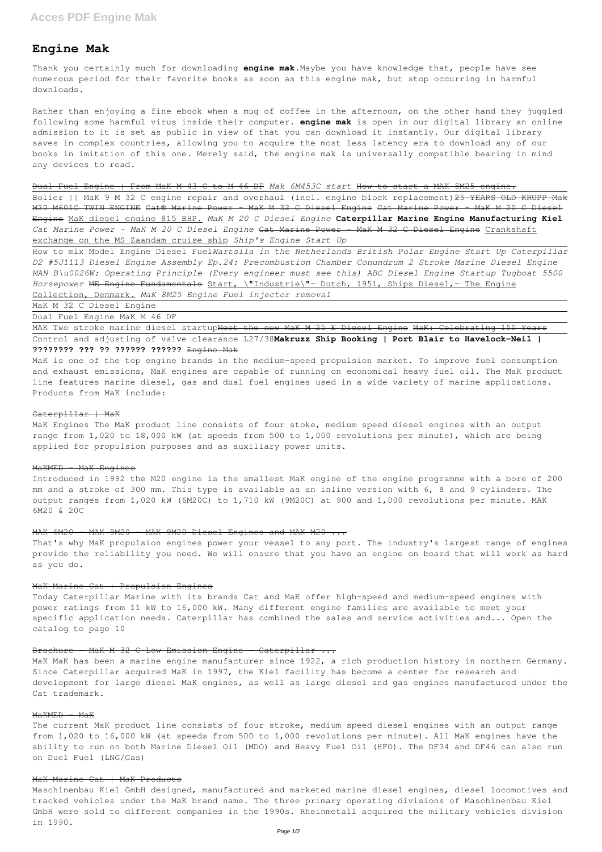# **Engine Mak**

Thank you certainly much for downloading **engine mak**.Maybe you have knowledge that, people have see numerous period for their favorite books as soon as this engine mak, but stop occurring in harmful downloads.

Rather than enjoying a fine ebook when a mug of coffee in the afternoon, on the other hand they juggled following some harmful virus inside their computer. **engine mak** is open in our digital library an online admission to it is set as public in view of that you can download it instantly. Our digital library saves in complex countries, allowing you to acquire the most less latency era to download any of our books in imitation of this one. Merely said, the engine mak is universally compatible bearing in mind any devices to read.

Bolier || MaK 9 M 32 C engine repair and overhaul (incl. engine block replacement) 25 YEARS OLD KRUPP Mak M20 M601C TWIN ENGINE Cat® Marine Power - MaK M 32 C Diesel Engine Cat Marine Power - MaK M 20 C Diesel Engine MaK diesel engine 815 BHP. *MaK M 20 C Diesel Engine* **Caterpillar Marine Engine Manufacturing Kiel** *Cat Marine Power - MaK M 20 C Diesel Engine* Cat Marine Power - MaK M 32 C Diesel Engine Crankshaft exchange on the MS Zaandam cruise ship *Ship's Engine Start Up*

Dual Fuel Engine | From MaK M 43 C to M 46 DF *Mak 6M453C start* How to start a MAK 8M25 engine.

MAK Two stroke marine diesel startup<del>Meet the new MaK M 25 E Diesel Engine</del> MaK: Celebrating 150 Years Control and adjusting of valve clearance L27/38**Makruzz Ship Booking | Port Blair to Havelock-Neil | ???????? ??? ?? ?????? ??????** Engine Mak

How to mix Model Engine Diesel Fuel*Wartsila in the Netherlands British Polar Engine Start Up Caterpillar D2 #5J1113 Diesel Engine Assembly Ep.24: Precombustion Chamber Conundrum 2 Stroke Marine Diesel Engine MAN B\u0026W: Operating Principle (Every engineer must see this) ABC Diesel Engine Startup Tugboat 5500 Horsepower* ME Engine Fundamentals Start, \"Industrie\"- Dutch, 1951, Ships Diesel,- The Engine Collection, Denmark. *MaK 8M25 Engine Fuel injector removal*

MaK M 32 C Diesel Engine

Dual Fuel Engine MaK M 46 DF

MaK is one of the top engine brands in the medium-speed propulsion market. To improve fuel consumption and exhaust emissions, MaK engines are capable of running on economical heavy fuel oil. The MaK product line features marine diesel, gas and dual fuel engines used in a wide variety of marine applications. Products from MaK include:

# Caterpillar | MaK

MaK Engines The MaK product line consists of four stoke, medium speed diesel engines with an output range from 1,020 to 18,000 kW (at speeds from 500 to 1,000 revolutions per minute), which are being applied for propulsion purposes and as auxiliary power units.

# MaKMED - MaK Engines

Introduced in 1992 the M20 engine is the smallest MaK engine of the engine programme with a bore of 200 mm and a stroke of 300 mm. This type is available as an inline version with 6, 8 and 9 cylinders. The output ranges from 1,020 kW (6M20C) to 1,710 kW (9M20C) at 900 and 1,000 revolutions per minute. MAK 6M20 & 20C

# MAK 6M20 - MAK 8M20 - MAK 9M20 Diesel Engines and MAK M20

That's why MaK propulsion engines power your vessel to any port. The industry's largest range of engines provide the reliability you need. We will ensure that you have an engine on board that will work as hard as you do.

# MaK Marine Cat | Propulsion Engines

Today Caterpillar Marine with its brands Cat and MaK offer high-speed and medium-speed engines with power ratings from 11 kW to 16,000 kW. Many different engine families are available to meet your specific application needs. Caterpillar has combined the sales and service activities and... Open the catalog to page 10

# Brochure - MaK M 32 C Low Emission Engine - Caterpillar ...

MaK MaK has been a marine engine manufacturer since 1922, a rich production history in northern Germany. Since Caterpillar acquired MaK in 1997, the Kiel facility has become a center for research and development for large diesel MaK engines, as well as large diesel and gas engines manufactured under the Cat trademark.

# $M$ a $K$ MED  $-$  Ma $K$

The current MaK product line consists of four stroke, medium speed diesel engines with an output range from 1,020 to 16,000 kW (at speeds from 500 to 1,000 revolutions per minute). All MaK engines have the ability to run on both Marine Diesel Oil (MDO) and Heavy Fuel Oil (HFO). The DF34 and DF46 can also run on Duel Fuel (LNG/Gas)

#### MaK Marine Cat | MaK Products

Maschinenbau Kiel GmbH designed, manufactured and marketed marine diesel engines, diesel locomotives and tracked vehicles under the MaK brand name. The three primary operating divisions of Maschinenbau Kiel GmbH were sold to different companies in the 1990s. Rheinmetall acquired the military vehicles division in 1990.